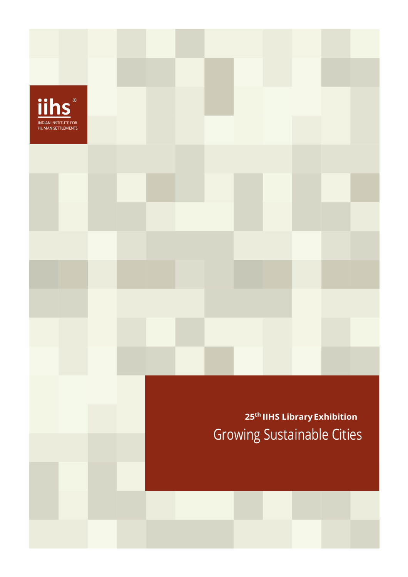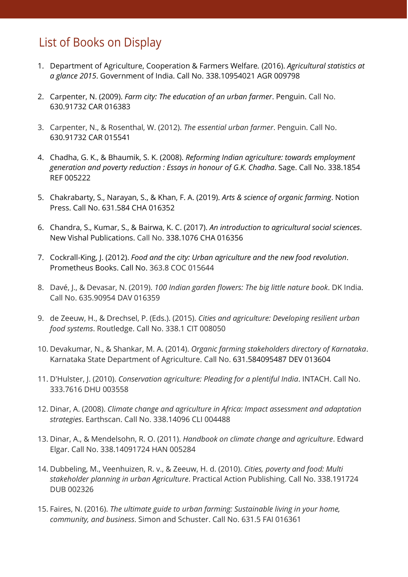## List of Books on Display

2

- 1. Department of Agriculture, Cooperation & Farmers Welfare*.* (2016). *Agricultural statistics at a glance 2015*. Government of India. Call No. 338.10954021 AGR 009798
- 2. Carpenter, N. (2009). *Farm city: The education of an urban farmer*. Penguin. Call No. 630.91732 CAR 016383
- 3. Carpenter, N., & Rosenthal, W. (2012). *The essential urban farmer*. Penguin. Call No. 630.91732 CAR 015541
- 4. Chadha, G. K., & Bhaumik, S. K. (2008). *Reforming Indian agriculture: towards employment generation and poverty reduction : Essays in honour of G.K. Chadha*. Sage. Call No. 338.1854 REF 005222
- 5. Chakrabarty, S., Narayan, S., & Khan, F. A. (2019). *Arts & science of organic farming*. Notion Press. Call No. 631.584 CHA 016352
- 6. Chandra, S., Kumar, S., & Bairwa, K. C. (2017). *An introduction to agricultural social sciences*. New Vishal Publications. Call No. 338.1076 CHA 016356
- 7. Cockrall-King, J. (2012). *Food and the city: Urban agriculture and the new food revolution*. Prometheus Books. Call No. 363.8 COC 015644
- 8. Davé, J., & Devasar, N. (2019). *100 Indian garden flowers: The big little nature book*. DK India. Call No. 635.90954 DAV 016359
- 9. de Zeeuw, H., & Drechsel, P. (Eds.). (2015). *Cities and agriculture: Developing resilient urban food systems*. Routledge. Call No. 338.1 CIT 008050
- 10. Devakumar, N., & Shankar, M. A. (2014). *Organic farming stakeholders directory of Karnataka*. Karnataka State Department of Agriculture. Call No. 631.584095487 DEV 013604
- 11. D'Hulster, J. (2010). *Conservation agriculture: Pleading for a plentiful India*. INTACH. Call No. 333.7616 DHU 003558
- 12. Dinar, A. (2008). *Climate change and agriculture in Africa: Impact assessment and adaptation strategies*. Earthscan. Call No. 338.14096 CLI 004488
- 13. Dinar, A., & Mendelsohn, R. O. (2011). *Handbook on climate change and agriculture*. Edward Elgar. Call No. 338.14091724 HAN 005284
- 14. Dubbeling, M., Veenhuizen, R. v., & Zeeuw, H. d. (2010). *Cities, poverty and food: Multi stakeholder planning in urban Agriculture*. Practical Action Publishing. Call No. 338.191724 DUB 002326
- 15. Faires, N. (2016). *The ultimate guide to urban farming: Sustainable living in your home, community, and business*. Simon and Schuster. Call No. 631.5 FAI 016361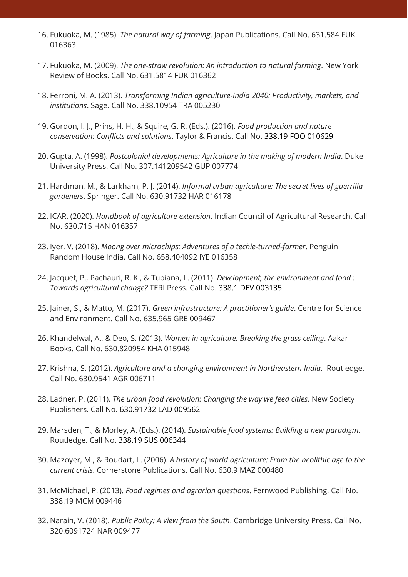16. Fukuoka, M. (1985). *The natural way of farming*. Japan Publications. Call No. 631.584 FUK 016363

3

- 17. Fukuoka, M. (2009). *The one-straw revolution: An introduction to natural farming*. New York Review of Books. Call No. 631.5814 FUK 016362
- 18. Ferroni, M. A. (2013). *Transforming Indian agriculture-India 2040: Productivity, markets, and institutions*. Sage. Call No. 338.10954 TRA 005230
- 19. Gordon, I. J., Prins, H. H., & Squire, G. R. (Eds.). (2016). *Food production and nature conservation: Conflicts and solutions*. Taylor & Francis. Call No. 338.19 FOO 010629
- 20. Gupta, A. (1998). *Postcolonial developments: Agriculture in the making of modern India*. Duke University Press. Call No. 307.141209542 GUP 007774
- 21. Hardman, M., & Larkham, P. J. (2014). *Informal urban agriculture: The secret lives of guerrilla gardeners*. Springer. Call No. 630.91732 HAR 016178
- 22. ICAR. (2020). *Handbook of agriculture extension*. Indian Council of Agricultural Research. Call No. 630.715 HAN 016357
- 23. Iyer, V. (2018). *Moong over microchips: Adventures of a techie-turned-farmer*. Penguin Random House India. Call No. 658.404092 IYE 016358
- 24. Jacquet, P., Pachauri, R. K., & Tubiana, L. (2011). *Development, the environment and food : Towards agricultural change?* TERI Press. Call No. 338.1 DEV 003135
- 25. Jainer, S., & Matto, M. (2017). *Green infrastructure: A practitioner's guide*. Centre for Science and Environment. Call No. 635.965 GRE 009467
- 26. Khandelwal, A., & Deo, S. (2013). *Women in agriculture: Breaking the grass ceiling*. Aakar Books. Call No. 630.820954 KHA 015948
- 27. Krishna, S. (2012). *Agriculture and a changing environment in Northeastern India*. Routledge. Call No. 630.9541 AGR 006711
- 28. Ladner, P. (2011). *The urban food revolution: Changing the way we feed cities*. New Society Publishers. Call No. 630.91732 LAD 009562
- 29. Marsden, T., & Morley, A. (Eds.). (2014). *Sustainable food systems: Building a new paradigm*. Routledge. Call No. 338.19 SUS 006344
- 30. Mazoyer, M., & Roudart, L. (2006). *A history of world agriculture: From the neolithic age to the current crisis*. Cornerstone Publications. Call No. 630.9 MAZ 000480
- 31. McMichael, P. (2013). *Food regimes and agrarian questions*. Fernwood Publishing. Call No. 338.19 MCM 009446
- 32. Narain, V. (2018). *Public Policy: A View from the South*. Cambridge University Press. Call No. 320.6091724 NAR 009477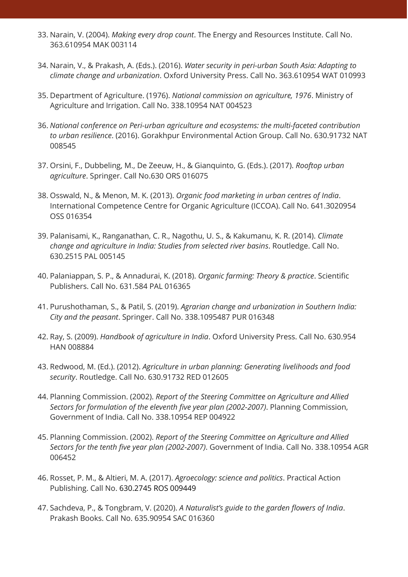- 33. Narain, V. (2004). *Making every drop count*. The Energy and Resources Institute. Call No. 363.610954 MAK 003114
- 34. Narain, V., & Prakash, A. (Eds.). (2016). *Water security in peri-urban South Asia: Adapting to climate change and urbanization*. Oxford University Press. Call No. 363.610954 WAT 010993
- 35. Department of Agriculture. (1976). *National commission on agriculture, 1976*. Ministry of Agriculture and Irrigation. Call No. 338.10954 NAT 004523
- 36. *National conference on Peri-urban agriculture and ecosystems: the multi-faceted contribution to urban resilience*. (2016). Gorakhpur Environmental Action Group. Call No. 630.91732 NAT 008545
- 37. Orsini, F., Dubbeling, M., De Zeeuw, H., & Gianquinto, G. (Eds.). (2017). *Rooftop urban agriculture*. Springer. Call No.630 ORS 016075
- 38. Osswald, N., & Menon, M. K. (2013). *Organic food marketing in urban centres of India*. International Competence Centre for Organic Agriculture (ICCOA). Call No. 641.3020954 OSS 016354
- 39. Palanisami, K., Ranganathan, C. R., Nagothu, U. S., & Kakumanu, K. R. (2014). *Climate change and agriculture in India: Studies from selected river basins*. Routledge. Call No. 630.2515 PAL 005145
- 40. Palaniappan, S. P., & Annadurai, K. (2018). *Organic farming: Theory & practice*. Scientific Publishers. Call No. 631.584 PAL 016365
- 41. Purushothaman, S., & Patil, S. (2019). *Agrarian change and urbanization in Southern India: City and the peasant*. Springer. Call No. 338.1095487 PUR 016348
- 42. Ray, S. (2009). *Handbook of agriculture in India*. Oxford University Press. Call No. 630.954 HAN 008884
- 43. Redwood, M. (Ed.). (2012). *Agriculture in urban planning: Generating livelihoods and food security*. Routledge. Call No. 630.91732 RED 012605
- 44. Planning Commission. (2002). *Report of the Steering Committee on Agriculture and Allied Sectors for formulation of the eleventh five year plan (2002-2007)*. Planning Commission, Government of India. Call No. 338.10954 REP 004922
- 45. Planning Commission. (2002). *Report of the Steering Committee on Agriculture and Allied Sectors for the tenth five year plan (2002-2007)*. Government of India. Call No. 338.10954 AGR 006452
- 46. Rosset, P. M., & Altieri, M. A. (2017). *Agroecology: science and politics*. Practical Action Publishing. Call No. 630.2745 ROS 009449
- 47. Sachdeva, P., & Tongbram, V. (2020). *A Naturalist's guide to the garden flowers of India*. Prakash Books. Call No. 635.90954 SAC 016360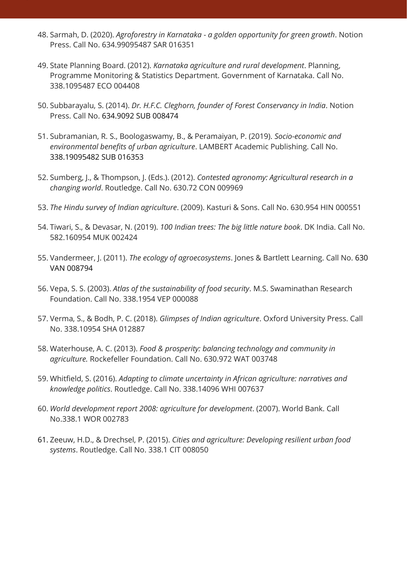- 48. Sarmah, D. (2020). *Agroforestry in Karnataka - a golden opportunity for green growth*. Notion Press. Call No. 634.99095487 SAR 016351
- 49. State Planning Board. (2012). *Karnataka agriculture and rural development*. Planning, Programme Monitoring & Statistics Department. Government of Karnataka. Call No. 338.1095487 ECO 004408

5

- 50. Subbarayalu, S. (2014). *Dr. H.F.C. Cleghorn, founder of Forest Conservancy in India*. Notion Press. Call No. 634.9092 SUB 008474
- 51. Subramanian, R. S., Boologaswamy, B., & Peramaiyan, P. (2019). *Socio-economic and environmental benefits of urban agriculture*. LAMBERT Academic Publishing. Call No. 338.19095482 SUB 016353
- 52. Sumberg, J., & Thompson, J. (Eds.). (2012). *Contested agronomy: Agricultural research in a changing world*. Routledge. Call No. 630.72 CON 009969
- 53. *The Hindu survey of Indian agriculture*. (2009). Kasturi & Sons. Call No. 630.954 HIN 000551
- 54. Tiwari, S., & Devasar, N. (2019). *100 Indian trees: The big little nature book*. DK India. Call No. 582.160954 MUK 002424
- 55. Vandermeer, J. (2011). *The ecology of agroecosystems*. Jones & Bartlett Learning. Call No. 630 VAN 008794
- 56. Vepa, S. S. (2003). *Atlas of the sustainability of food security*. M.S. Swaminathan Research Foundation. Call No. 338.1954 VEP 000088
- 57. Verma, S., & Bodh, P. C. (2018). *Glimpses of Indian agriculture*. Oxford University Press. Call No. 338.10954 SHA 012887
- 58. Waterhouse, A. C. (2013). *Food & prosperity: balancing technology and community in agriculture.* Rockefeller Foundation. Call No. 630.972 WAT 003748
- 59. Whitfield, S. (2016). *Adapting to climate uncertainty in African agriculture: narratives and knowledge politics*. Routledge. Call No. 338.14096 WHI 007637
- 60. *World development report 2008: agriculture for development*. (2007). World Bank. Call No.338.1 WOR 002783
- 61. Zeeuw, H.D., & Drechsel, P. (2015). *Cities and agriculture: Developing resilient urban food systems*. Routledge. Call No. 338.1 CIT 008050